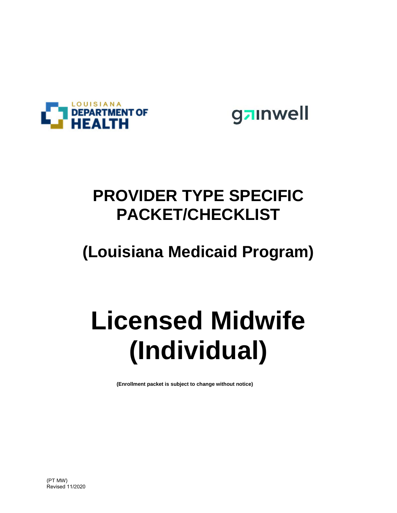



## **PROVIDER TYPE SPECIFIC PACKET/CHECKLIST**

## **(Louisiana Medicaid Program)**

# **Licensed Midwife (Individual)**

**(Enrollment packet is subject to change without notice)**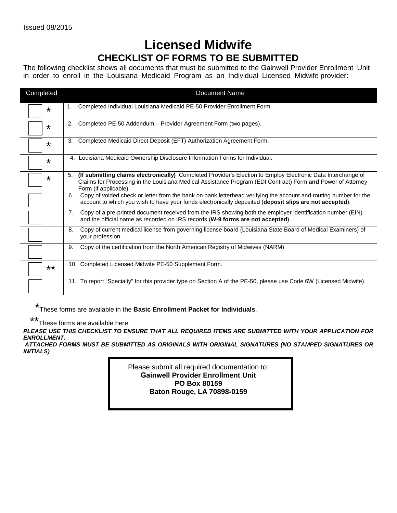### **Licensed Midwife CHECKLIST OF FORMS TO BE SUBMITTED**

The following checklist shows all documents that must be submitted to the Gainwell Provider Enrollment Unit in order to enroll in the Louisiana Medicaid Program as an Individual Licensed Midwife provider:

| Completed | <b>Document Name</b>                                                                                                                                                                                                                                       |
|-----------|------------------------------------------------------------------------------------------------------------------------------------------------------------------------------------------------------------------------------------------------------------|
| $\star$   | Completed Individual Louisiana Medicaid PE-50 Provider Enrollment Form.<br>1.                                                                                                                                                                              |
| $\star$   | Completed PE-50 Addendum - Provider Agreement Form (two pages).<br>2.                                                                                                                                                                                      |
| *         | Completed Medicaid Direct Deposit (EFT) Authorization Agreement Form.<br>3.                                                                                                                                                                                |
| ¥         | Louisiana Medicaid Ownership Disclosure Information Forms for Individual.<br>4.                                                                                                                                                                            |
| *         | (If submitting claims electronically) Completed Provider's Election to Employ Electronic Data Interchange of<br>5.<br>Claims for Processing in the Louisiana Medical Assistance Program (EDI Contract) Form and Power of Attorney<br>Form (if applicable). |
|           | Copy of voided check or letter from the bank on bank letterhead verifying the account and routing number for the<br>6.<br>account to which you wish to have your funds electronically deposited (deposit slips are not accepted).                          |
|           | Copy of a pre-printed document received from the IRS showing both the employer identification number (EIN)<br>7.<br>and the official name as recorded on IRS records (W-9 forms are not accepted).                                                         |
|           | Copy of current medical license from governing license board (Louisiana State Board of Medical Examiners) of<br>8.<br>your profession.                                                                                                                     |
|           | 9.<br>Copy of the certification from the North American Registry of Midwives (NARM)                                                                                                                                                                        |
| $***$     | 10. Completed Licensed Midwife PE-50 Supplement Form.                                                                                                                                                                                                      |
|           | 11. To report "Specialty" for this provider type on Section A of the PE-50, please use Code 6W (Licensed Midwife).                                                                                                                                         |

\* These forms are available in the **Basic Enrollment Packet for Individuals**.

\*\* These forms are available here.

*PLEASE USE THIS CHECKLIST TO ENSURE THAT ALL REQUIRED ITEMS ARE SUBMITTED WITH YOUR APPLICATION FOR ENROLLMENT.* 

*ATTACHED FORMS MUST BE SUBMITTED AS ORIGINALS WITH ORIGINAL SIGNATURES (NO STAMPED SIGNATURES OR INITIALS)*

> Please submit all required documentation to: **Gainwell Provider Enrollment Unit PO Box 80159 Baton Rouge, LA 70898-0159**